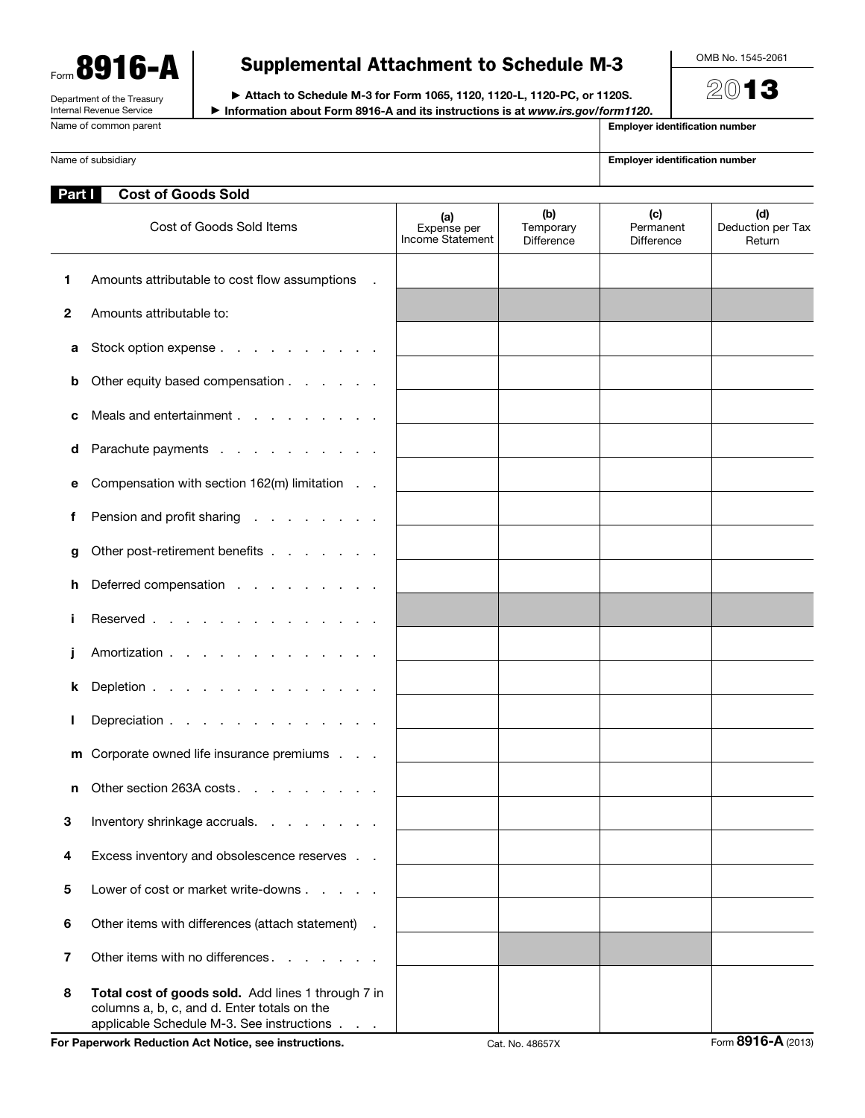Form 8916-A Department of the Treasury

Internal Revenue Service

# Supplemental Attachment to Schedule M-3

OMB No. 1545-2061

2013

▶ Attach to Schedule M-3 for Form 1065, 1120, 1120-L, 1120-PC, or 1120S. ▶ Information about Form 8916-A and its instructions is at *www.irs.gov/form1120*.

|              | internal Revenue Service<br>$\blacktriangleright$ information about Form 8916-A and its instructions is at www.irs.gov/form1120.<br>Name of common parent | <b>Employer identification number</b>  |                                |                                       |                                    |  |
|--------------|-----------------------------------------------------------------------------------------------------------------------------------------------------------|----------------------------------------|--------------------------------|---------------------------------------|------------------------------------|--|
|              | Name of subsidiary                                                                                                                                        | <b>Employer identification number</b>  |                                |                                       |                                    |  |
| Part I       | <b>Cost of Goods Sold</b>                                                                                                                                 |                                        |                                |                                       |                                    |  |
|              | Cost of Goods Sold Items                                                                                                                                  | (a)<br>Expense per<br>Income Statement | (b)<br>Temporary<br>Difference | (c)<br>Permanent<br><b>Difference</b> | (d)<br>Deduction per Tax<br>Return |  |
| 1            | Amounts attributable to cost flow assumptions                                                                                                             |                                        |                                |                                       |                                    |  |
| $\mathbf{2}$ | Amounts attributable to:                                                                                                                                  |                                        |                                |                                       |                                    |  |
| а            | Stock option expense                                                                                                                                      |                                        |                                |                                       |                                    |  |
| b            | Other equity based compensation                                                                                                                           |                                        |                                |                                       |                                    |  |
| c            | Meals and entertainment                                                                                                                                   |                                        |                                |                                       |                                    |  |
| d            | Parachute payments                                                                                                                                        |                                        |                                |                                       |                                    |  |
| е            | Compensation with section 162(m) limitation                                                                                                               |                                        |                                |                                       |                                    |  |
| f            | Pension and profit sharing                                                                                                                                |                                        |                                |                                       |                                    |  |
| g            | Other post-retirement benefits                                                                                                                            |                                        |                                |                                       |                                    |  |
| h            | Deferred compensation                                                                                                                                     |                                        |                                |                                       |                                    |  |
|              | Reserved                                                                                                                                                  |                                        |                                |                                       |                                    |  |
|              | Amortization                                                                                                                                              |                                        |                                |                                       |                                    |  |
| k            | Depletion                                                                                                                                                 |                                        |                                |                                       |                                    |  |
| ı            | Depreciation                                                                                                                                              |                                        |                                |                                       |                                    |  |
| m            | Corporate owned life insurance premiums                                                                                                                   |                                        |                                |                                       |                                    |  |
| n            | Other section 263A costs                                                                                                                                  |                                        |                                |                                       |                                    |  |

4 Excess inventory and obsolescence reserves . . 5 Lower of cost or market write-downs . . . . . 6 Other items with differences (attach statement) . 7 Other items with no differences . . . . . . . 8 Total cost of goods sold. Add lines 1 through 7 in columns a, b, c, and d. Enter totals on the applicable Schedule M-3. See instructions . . .

3 Inventory shrinkage accruals. . . . . .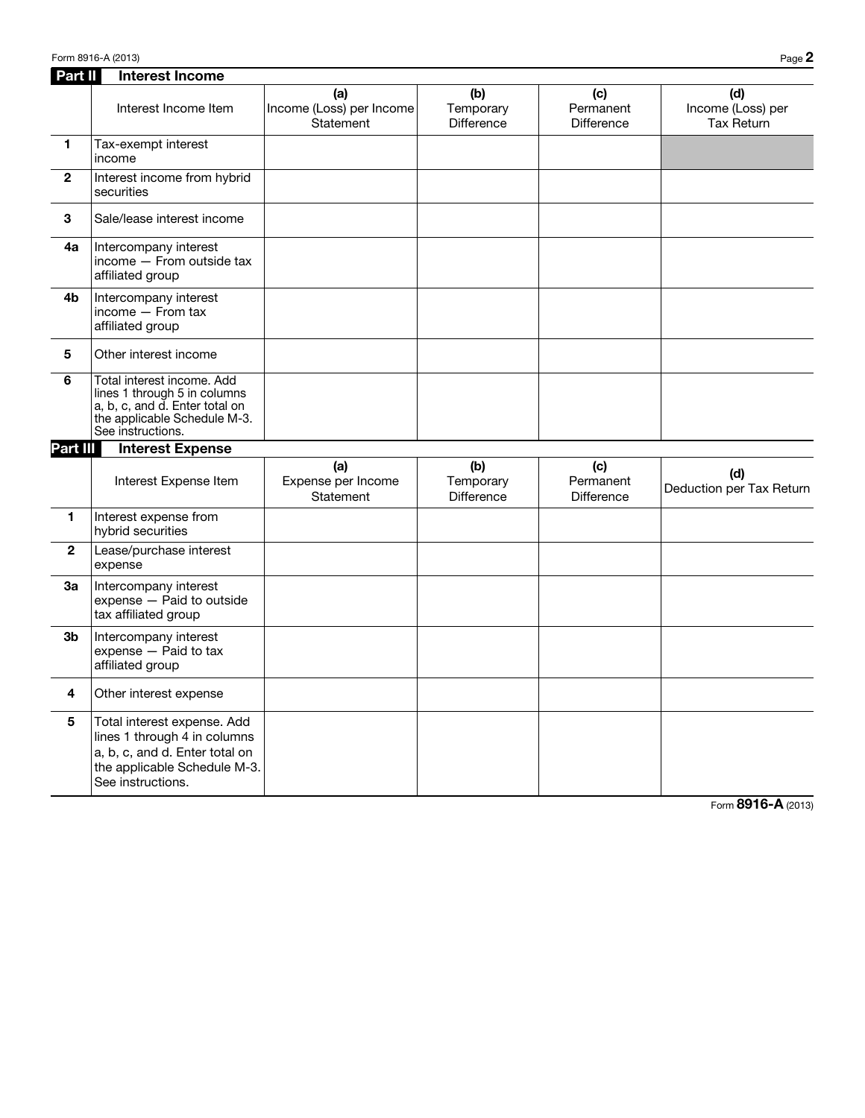| Part II        | <b>Interest Income</b>                                                                                                                             |                                              |                                       |                                       |                                               |
|----------------|----------------------------------------------------------------------------------------------------------------------------------------------------|----------------------------------------------|---------------------------------------|---------------------------------------|-----------------------------------------------|
|                | Interest Income Item                                                                                                                               | (a)<br>Income (Loss) per Income<br>Statement | (b)<br>Temporary<br><b>Difference</b> | (c)<br>Permanent<br><b>Difference</b> | (d)<br>Income (Loss) per<br><b>Tax Return</b> |
| $\mathbf{1}$   | Tax-exempt interest<br>income                                                                                                                      |                                              |                                       |                                       |                                               |
| $\overline{2}$ | Interest income from hybrid<br>securities                                                                                                          |                                              |                                       |                                       |                                               |
| 3              | Sale/lease interest income                                                                                                                         |                                              |                                       |                                       |                                               |
| 4a             | Intercompany interest<br>income - From outside tax<br>affiliated group                                                                             |                                              |                                       |                                       |                                               |
| 4b             | Intercompany interest<br>income $-$ From tax<br>affiliated group                                                                                   |                                              |                                       |                                       |                                               |
| 5              | Other interest income                                                                                                                              |                                              |                                       |                                       |                                               |
| 6              | Total interest income, Add<br>lines 1 through 5 in columns<br>a, b, c, and d. Enter total on<br>the applicable Schedule M-3.<br>See instructions.  |                                              |                                       |                                       |                                               |
| Part III       | <b>Interest Expense</b>                                                                                                                            |                                              |                                       |                                       |                                               |
|                | Interest Expense Item                                                                                                                              | (a)<br>Expense per Income<br>Statement       | (b)<br>Temporary<br><b>Difference</b> | (c)<br>Permanent<br><b>Difference</b> | (d)<br>Deduction per Tax Return               |
| 1              | Interest expense from<br>hybrid securities                                                                                                         |                                              |                                       |                                       |                                               |
| $\mathbf{2}$   | Lease/purchase interest<br>expense                                                                                                                 |                                              |                                       |                                       |                                               |
| За             | Intercompany interest<br>expense - Paid to outside<br>tax affiliated group                                                                         |                                              |                                       |                                       |                                               |
| 3b             | Intercompany interest<br>expense - Paid to tax<br>affiliated group                                                                                 |                                              |                                       |                                       |                                               |
| 4              | Other interest expense                                                                                                                             |                                              |                                       |                                       |                                               |
| 5              | Total interest expense. Add<br>lines 1 through 4 in columns<br>a, b, c, and d. Enter total on<br>the applicable Schedule M-3.<br>See instructions. |                                              |                                       |                                       |                                               |

Form 8916-A (2013)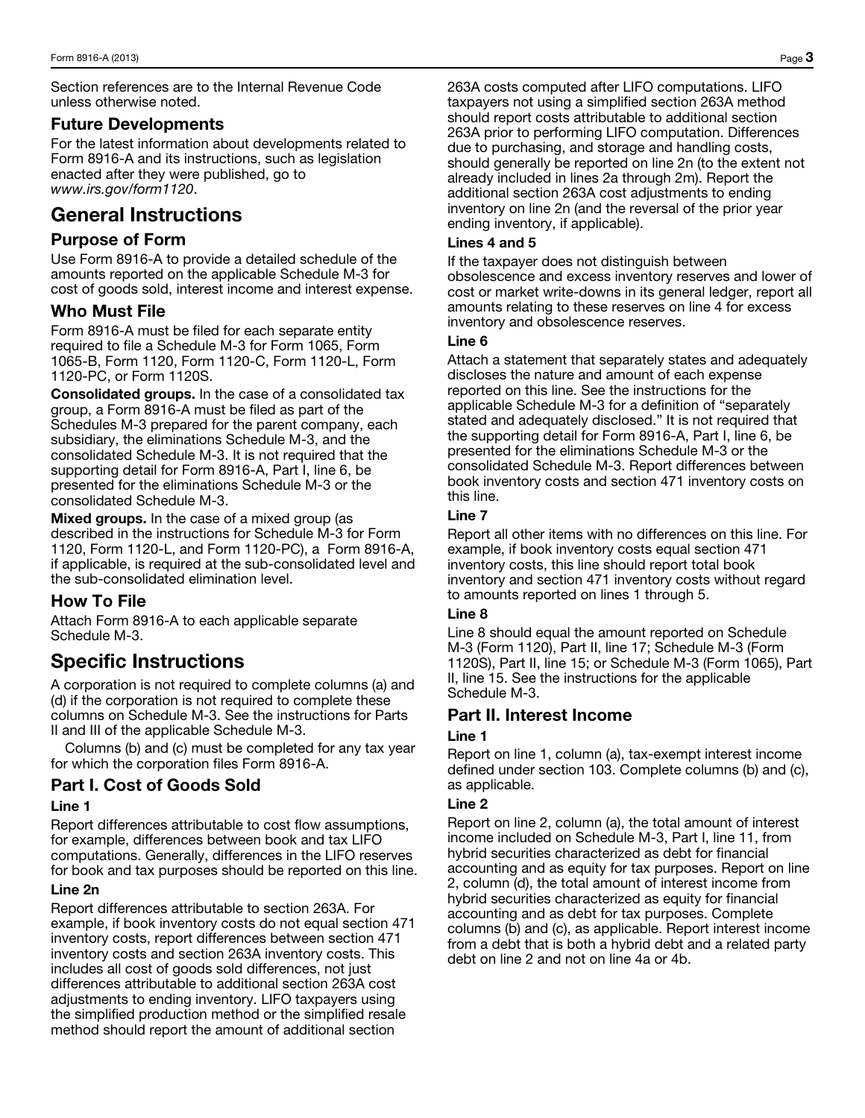Section references are to the Internal Revenue Code unless otherwise noted.

# Future Developments

For the latest information about developments related to Form 8916-A and its instructions, such as legislation enacted after they were published, go to *www.irs.gov/form1120*.

# General Instructions

# Purpose of Form

Use Form 8916-A to provide a detailed schedule of the amounts reported on the applicable Schedule M-3 for cost of goods sold, interest income and interest expense.

# Who Must File

Form 8916-A must be filed for each separate entity required to file a Schedule M-3 for Form 1065, Form 1065-B, Form 1120, Form 1120-C, Form 1120-L, Form 1120-PC, or Form 1120S.

Consolidated groups. In the case of a consolidated tax group, a Form 8916-A must be filed as part of the Schedules M-3 prepared for the parent company, each subsidiary, the eliminations Schedule M-3, and the consolidated Schedule M-3. It is not required that the supporting detail for Form 8916-A, Part I, line 6, be presented for the eliminations Schedule M-3 or the consolidated Schedule M-3.

Mixed groups. In the case of a mixed group (as described in the instructions for Schedule M-3 for Form 1120, Form 1120-L, and Form 1120-PC), a Form 8916-A, if applicable, is required at the sub-consolidated level and the sub-consolidated elimination level.

# How To File

Attach Form 8916-A to each applicable separate Schedule M-3.

# Specific Instructions

A corporation is not required to complete columns (a) and (d) if the corporation is not required to complete these columns on Schedule M-3. See the instructions for Parts II and III of the applicable Schedule M-3.

Columns (b) and (c) must be completed for any tax year for which the corporation files Form 8916-A.

# Part I. Cost of Goods Sold

# Line 1

Report differences attributable to cost flow assumptions, for example, differences between book and tax LIFO computations. Generally, differences in the LIFO reserves for book and tax purposes should be reported on this line.

#### Line 2n

Report differences attributable to section 263A. For example, if book inventory costs do not equal section 471 inventory costs, report differences between section 471 inventory costs and section 263A inventory costs. This includes all cost of goods sold differences, not just differences attributable to additional section 263A cost adjustments to ending inventory. LIFO taxpayers using the simplified production method or the simplified resale method should report the amount of additional section

263A costs computed after LIFO computations. LIFO taxpayers not using a simplified section 263A method should report costs attributable to additional section 263A prior to performing LIFO computation. Differences due to purchasing, and storage and handling costs, should generally be reported on line 2n (to the extent not already included in lines 2a through 2m). Report the additional section 263A cost adjustments to ending inventory on line 2n (and the reversal of the prior year ending inventory, if applicable).

### Lines 4 and 5

If the taxpayer does not distinguish between obsolescence and excess inventory reserves and lower of cost or market write-downs in its general ledger, report all amounts relating to these reserves on line 4 for excess inventory and obsolescence reserves.

#### Line 6

Attach a statement that separately states and adequately discloses the nature and amount of each expense reported on this line. See the instructions for the applicable Schedule M-3 for a definition of "separately stated and adequately disclosed." It is not required that the supporting detail for Form 8916-A, Part I, line 6, be presented for the eliminations Schedule M-3 or the consolidated Schedule M-3. Report differences between book inventory costs and section 471 inventory costs on this line.

# Line 7

Report all other items with no differences on this line. For example, if book inventory costs equal section 471 inventory costs, this line should report total book inventory and section 471 inventory costs without regard to amounts reported on lines 1 through 5.

# Line 8

Line 8 should equal the amount reported on Schedule M-3 (Form 1120), Part II, line 17; Schedule M-3 (Form 1120S), Part II, line 15; or Schedule M-3 (Form 1065), Part II, line 15. See the instructions for the applicable Schedule M-3.

# Part II. Interest Income

#### Line 1

Report on line 1, column (a), tax-exempt interest income defined under section 103. Complete columns (b) and (c), as applicable.

#### Line 2

Report on line 2, column (a), the total amount of interest income included on Schedule M-3, Part I, line 11, from hybrid securities characterized as debt for financial accounting and as equity for tax purposes. Report on line 2, column (d), the total amount of interest income from hybrid securities characterized as equity for financial accounting and as debt for tax purposes. Complete columns (b) and (c), as applicable. Report interest income from a debt that is both a hybrid debt and a related party debt on line 2 and not on line 4a or 4b.